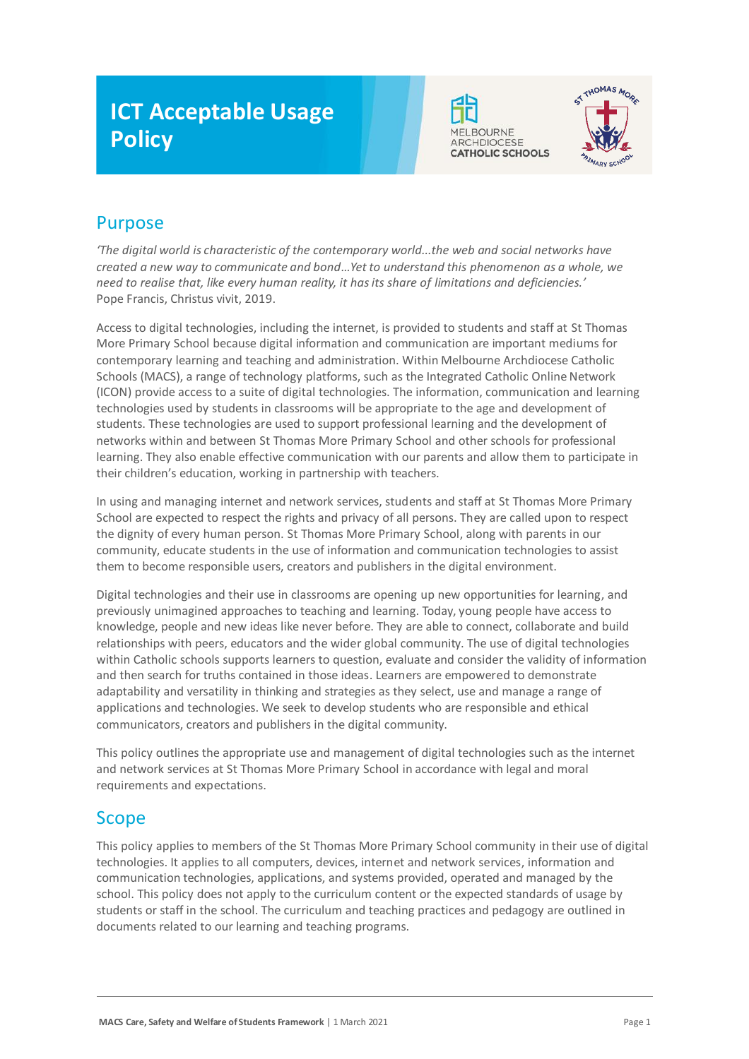# **ICT Acceptable Usage Policy**





## Purpose

*'The digital world is characteristic of the contemporary world...the web and social networks have created a new way to communicate and bond…Yet to understand this phenomenon as a whole, we need to realise that, like every human reality, it has its share of limitations and deficiencies.'* Pope Francis, Christus vivit, 2019.

Access to digital technologies, including the internet, is provided to students and staff at St Thomas More Primary School because digital information and communication are important mediums for contemporary learning and teaching and administration. Within Melbourne Archdiocese Catholic Schools (MACS), a range of technology platforms, such as the Integrated Catholic Online Network (ICON) provide access to a suite of digital technologies. The information, communication and learning technologies used by students in classrooms will be appropriate to the age and development of students. These technologies are used to support professional learning and the development of networks within and between St Thomas More Primary School and other schools for professional learning. They also enable effective communication with our parents and allow them to participate in their children's education, working in partnership with teachers.

In using and managing internet and network services, students and staff at St Thomas More Primary School are expected to respect the rights and privacy of all persons. They are called upon to respect the dignity of every human person. St Thomas More Primary School, along with parents in our community, educate students in the use of information and communication technologies to assist them to become responsible users, creators and publishers in the digital environment.

Digital technologies and their use in classrooms are opening up new opportunities for learning, and previously unimagined approaches to teaching and learning. Today, young people have access to knowledge, people and new ideas like never before. They are able to connect, collaborate and build relationships with peers, educators and the wider global community. The use of digital technologies within Catholic schools supports learners to question, evaluate and consider the validity of information and then search for truths contained in those ideas. Learners are empowered to demonstrate adaptability and versatility in thinking and strategies as they select, use and manage a range of applications and technologies. We seek to develop students who are responsible and ethical communicators, creators and publishers in the digital community.

This policy outlines the appropriate use and management of digital technologies such as the internet and network services at St Thomas More Primary School in accordance with legal and moral requirements and expectations.

## Scope

This policy applies to members of the St Thomas More Primary School community in their use of digital technologies. It applies to all computers, devices, internet and network services, information and communication technologies, applications, and systems provided, operated and managed by the school. This policy does not apply to the curriculum content or the expected standards of usage by students or staff in the school. The curriculum and teaching practices and pedagogy are outlined in documents related to our learning and teaching programs.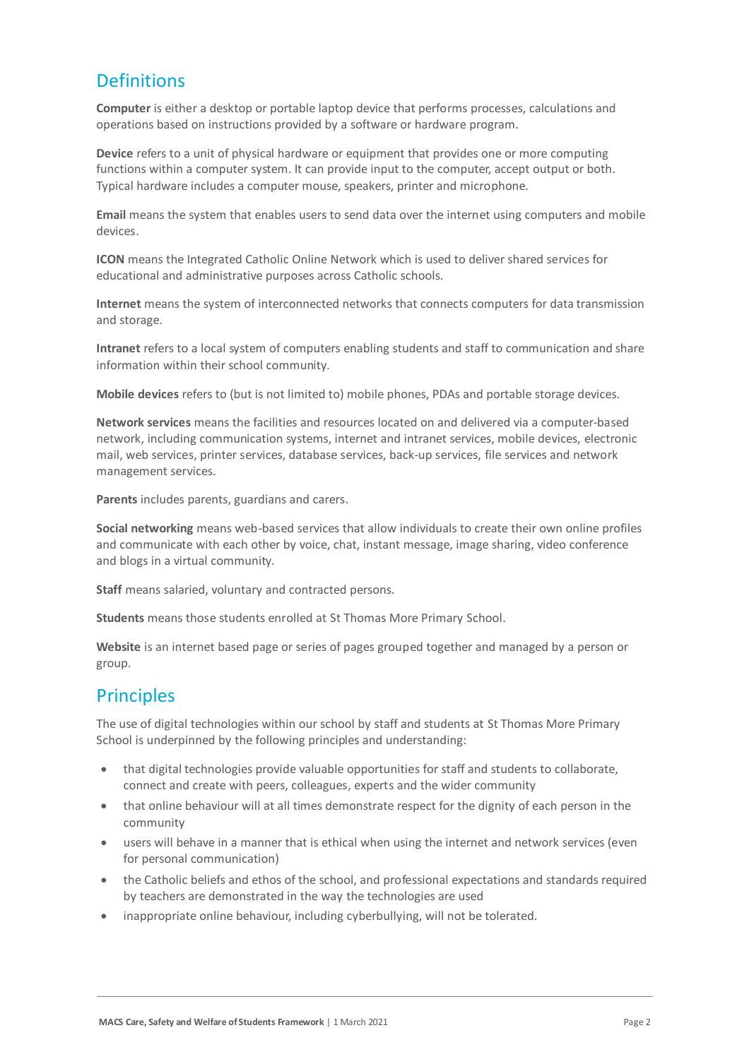## **Definitions**

**Computer** is either a desktop or portable laptop device that performs processes, calculations and operations based on instructions provided by a software or hardware program.

**Device** refers to a unit of physical hardware or equipment that provides one or more computing functions within a computer system. It can provide input to the computer, accept output or both. Typical hardware includes a computer mouse, speakers, printer and microphone.

**Email** means the system that enables users to send data over the internet using computers and mobile devices.

**ICON** means the Integrated Catholic Online Network which is used to deliver shared services for educational and administrative purposes across Catholic schools.

**Internet** means the system of interconnected networks that connects computers for data transmission and storage.

**Intranet** refers to a local system of computers enabling students and staff to communication and share information within their school community.

**Mobile devices** refers to (but is not limited to) mobile phones, PDAs and portable storage devices.

**Network services** means the facilities and resources located on and delivered via a computer-based network, including communication systems, internet and intranet services, mobile devices, electronic mail, web services, printer services, database services, back-up services, file services and network management services.

**Parents** includes parents, guardians and carers.

**Social networking** means web-based services that allow individuals to create their own online profiles and communicate with each other by voice, chat, instant message, image sharing, video conference and blogs in a virtual community.

**Staff** means salaried, voluntary and contracted persons.

**Students** means those students enrolled at St Thomas More Primary School.

**Website** is an internet based page or series of pages grouped together and managed by a person or group.

## **Principles**

The use of digital technologies within our school by staff and students at St Thomas More Primary School is underpinned by the following principles and understanding:

- that digital technologies provide valuable opportunities for staff and students to collaborate, connect and create with peers, colleagues, experts and the wider community
- that online behaviour will at all times demonstrate respect for the dignity of each person in the community
- users will behave in a manner that is ethical when using the internet and network services (even for personal communication)
- the Catholic beliefs and ethos of the school, and professional expectations and standards required by teachers are demonstrated in the way the technologies are used
- inappropriate online behaviour, including cyberbullying, will not be tolerated.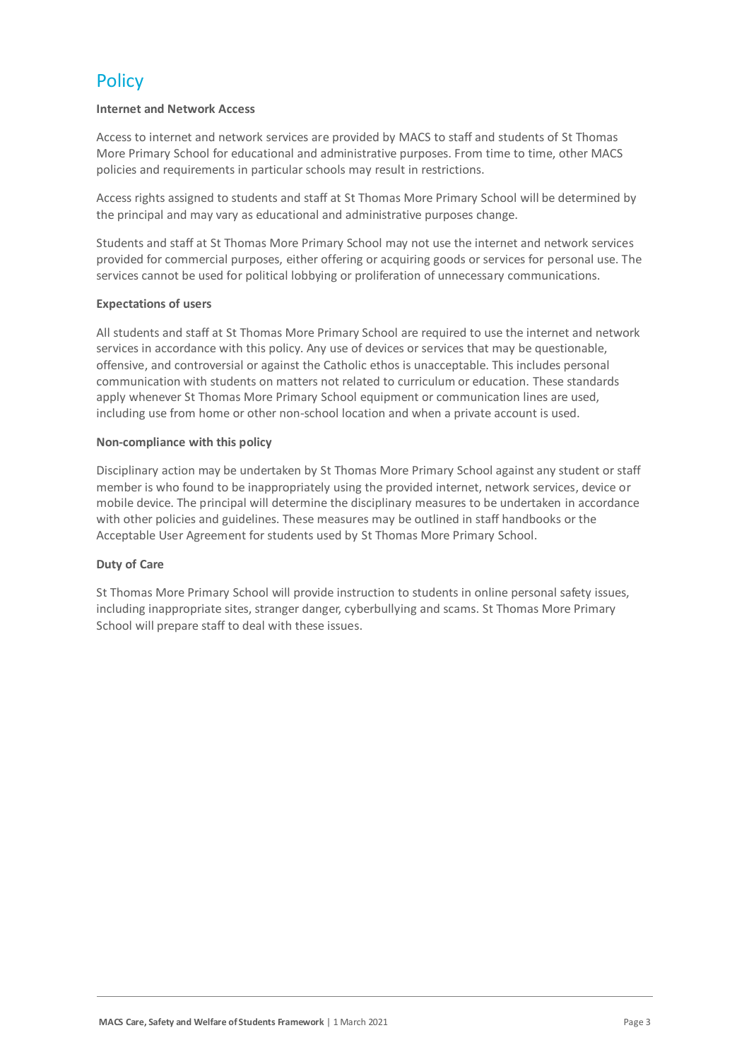## **Policy**

## **Internet and Network Access**

Access to internet and network services are provided by MACS to staff and students of St Thomas More Primary School for educational and administrative purposes. From time to time, other MACS policies and requirements in particular schools may result in restrictions.

Access rights assigned to students and staff at St Thomas More Primary School will be determined by the principal and may vary as educational and administrative purposes change.

Students and staff at St Thomas More Primary School may not use the internet and network services provided for commercial purposes, either offering or acquiring goods or services for personal use. The services cannot be used for political lobbying or proliferation of unnecessary communications.

## **Expectations of users**

All students and staff at St Thomas More Primary School are required to use the internet and network services in accordance with this policy. Any use of devices or services that may be questionable, offensive, and controversial or against the Catholic ethos is unacceptable. This includes personal communication with students on matters not related to curriculum or education. These standards apply whenever St Thomas More Primary School equipment or communication lines are used, including use from home or other non-school location and when a private account is used.

## **Non-compliance with this policy**

Disciplinary action may be undertaken by St Thomas More Primary School against any student or staff member is who found to be inappropriately using the provided internet, network services, device or mobile device. The principal will determine the disciplinary measures to be undertaken in accordance with other policies and guidelines. These measures may be outlined in staff handbooks or the Acceptable User Agreement for students used by St Thomas More Primary School.

## **Duty of Care**

St Thomas More Primary School will provide instruction to students in online personal safety issues, including inappropriate sites, stranger danger, cyberbullying and scams. St Thomas More Primary School will prepare staff to deal with these issues.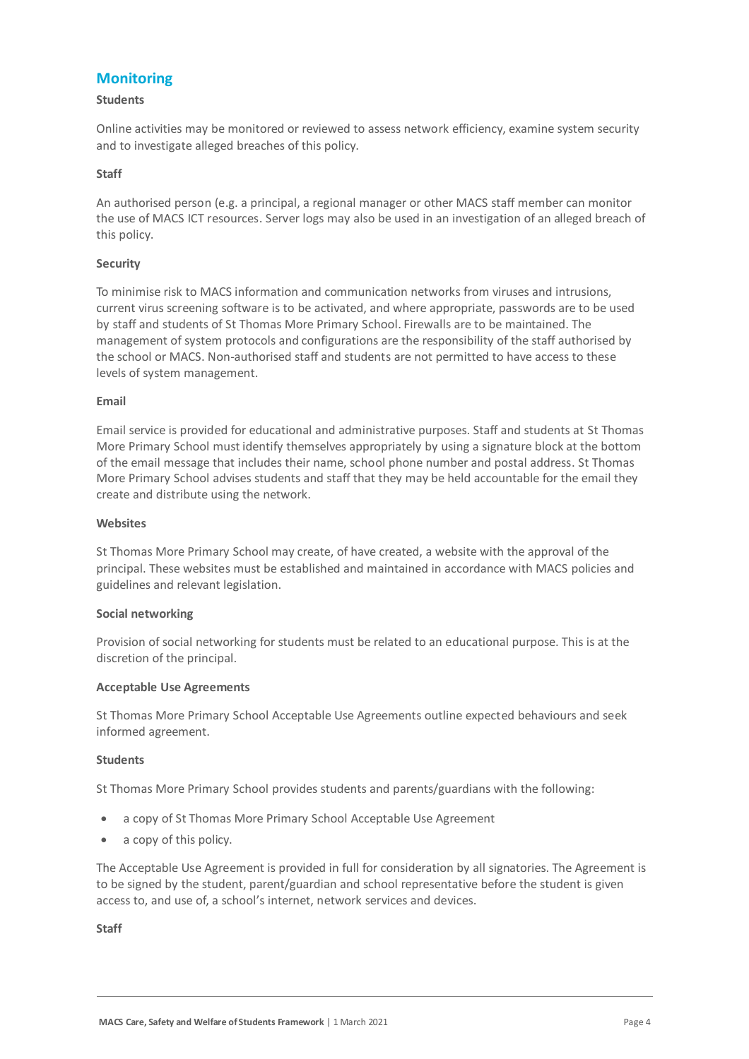## **Monitoring**

### **Students**

Online activities may be monitored or reviewed to assess network efficiency, examine system security and to investigate alleged breaches of this policy.

## **Staff**

An authorised person (e.g. a principal, a regional manager or other MACS staff member can monitor the use of MACS ICT resources. Server logs may also be used in an investigation of an alleged breach of this policy.

## **Security**

To minimise risk to MACS information and communication networks from viruses and intrusions, current virus screening software is to be activated, and where appropriate, passwords are to be used by staff and students of St Thomas More Primary School. Firewalls are to be maintained. The management of system protocols and configurations are the responsibility of the staff authorised by the school or MACS. Non-authorised staff and students are not permitted to have access to these levels of system management.

### **Email**

Email service is provided for educational and administrative purposes. Staff and students at St Thomas More Primary School must identify themselves appropriately by using a signature block at the bottom of the email message that includes their name, school phone number and postal address. St Thomas More Primary School advises students and staff that they may be held accountable for the email they create and distribute using the network.

### **Websites**

St Thomas More Primary School may create, of have created, a website with the approval of the principal. These websites must be established and maintained in accordance with MACS policies and guidelines and relevant legislation.

### **Social networking**

Provision of social networking for students must be related to an educational purpose. This is at the discretion of the principal.

### **Acceptable Use Agreements**

St Thomas More Primary School Acceptable Use Agreements outline expected behaviours and seek informed agreement.

### **Students**

St Thomas More Primary School provides students and parents/guardians with the following:

- a copy of St Thomas More Primary School Acceptable Use Agreement
- a copy of this policy.

The Acceptable Use Agreement is provided in full for consideration by all signatories. The Agreement is to be signed by the student, parent/guardian and school representative before the student is given access to, and use of, a school's internet, network services and devices.

**Staff**